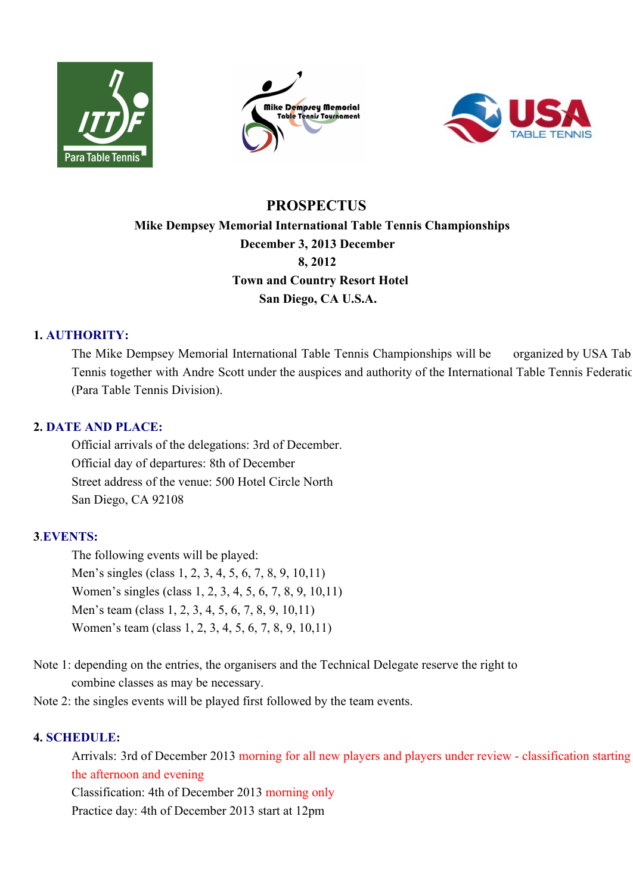





# **PROSPECTUS Mike Dempsey Memorial International Table Tennis Championships December 3, 2013 December 8, 2012 Town and Country Resort Hotel San Diego, CA U.S.A.**

# **1. AUTHORITY:**

The Mike Dempsey Memorial International Table Tennis Championships will be organized by USA Tab Tennis together with Andre Scott under the auspices and authority of the International Table Tennis Federation (Para Table Tennis Division).

# **2. DATE AND PLACE:**

Official arrivals of the delegations: 3rd of December. Official day of departures: 8th of December Street address of the venue: 500 Hotel Circle North San Diego, CA 92108

# **3**.**EVENTS:**

The following events will be played: Men's singles (class 1, 2, 3, 4, 5, 6, 7, 8, 9, 10,11) Women's singles (class 1, 2, 3, 4, 5, 6, 7, 8, 9, 10,11) Men's team (class 1, 2, 3, 4, 5, 6, 7, 8, 9, 10,11) Women's team (class 1, 2, 3, 4, 5, 6, 7, 8, 9, 10,11)

- Note 1: depending on the entries, the organisers and the Technical Delegate reserve the right to combine classes as may be necessary.
- Note 2: the singles events will be played first followed by the team events.

# **4. SCHEDULE:**

Arrivals: 3rd of December 2013 morning for all new players and players under review - classification starting the afternoon and evening

Classification: 4th of December 2013 morning only

Practice day: 4th of December 2013 start at 12pm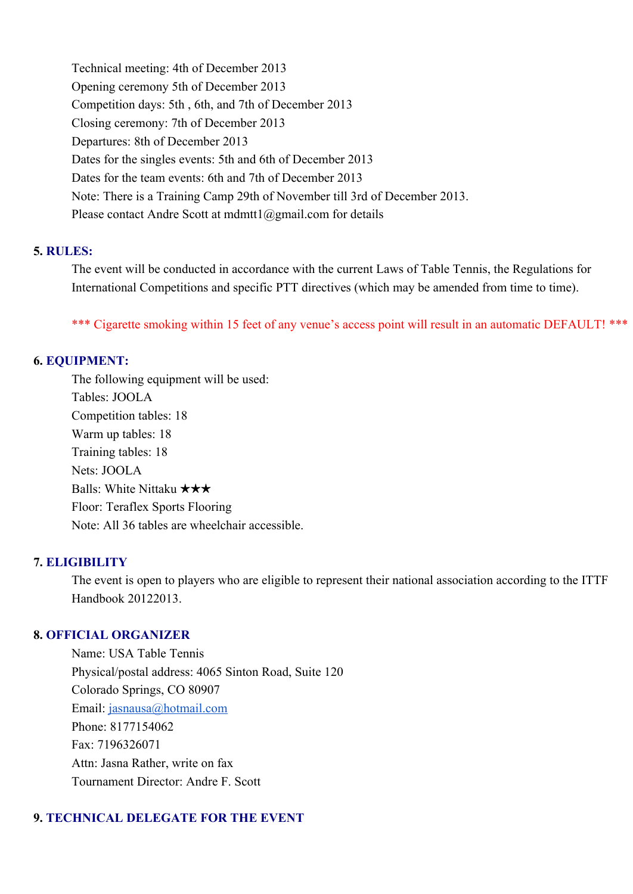Technical meeting: 4th of December 2013 Opening ceremony 5th of December 2013 Competition days: 5th , 6th, and 7th of December 2013 Closing ceremony: 7th of December 2013 Departures: 8th of December 2013 Dates for the singles events: 5th and 6th of December 2013 Dates for the team events: 6th and 7th of December 2013 Note: There is a Training Camp 29th of November till 3rd of December 2013. Please contact Andre Scott at mdmtt1@gmail.com for details

## **5. RULES:**

The event will be conducted in accordance with the current Laws of Table Tennis, the Regulations for International Competitions and specific PTT directives (which may be amended from time to time).

\*\*\* Cigarette smoking within 15 feet of any venue's access point will result in an automatic DEFAULT! \*\*\*

## **6. EQUIPMENT:**

The following equipment will be used: Tables: JOOLA Competition tables: 18 Warm up tables: 18 Training tables: 18 Nets: JOOLA Balls: White Nittaku ★★★ Floor: Teraflex Sports Flooring Note: All 36 tables are wheelchair accessible.

# **7. ELIGIBILITY**

The event is open to players who are eligible to represent their national association according to the ITTF Handbook 20122013.

### **8. OFFICIAL ORGANIZER**

Name: USA Table Tennis Physical/postal address: 4065 Sinton Road, Suite 120 Colorado Springs, CO 80907 Email: [jasnausa@hotmail.com](mailto:jasnausa@hotmail.com) Phone: 8177154062 Fax: 7196326071 Attn: Jasna Rather, write on fax Tournament Director: Andre F. Scott

# **9. TECHNICAL DELEGATE FOR THE EVENT**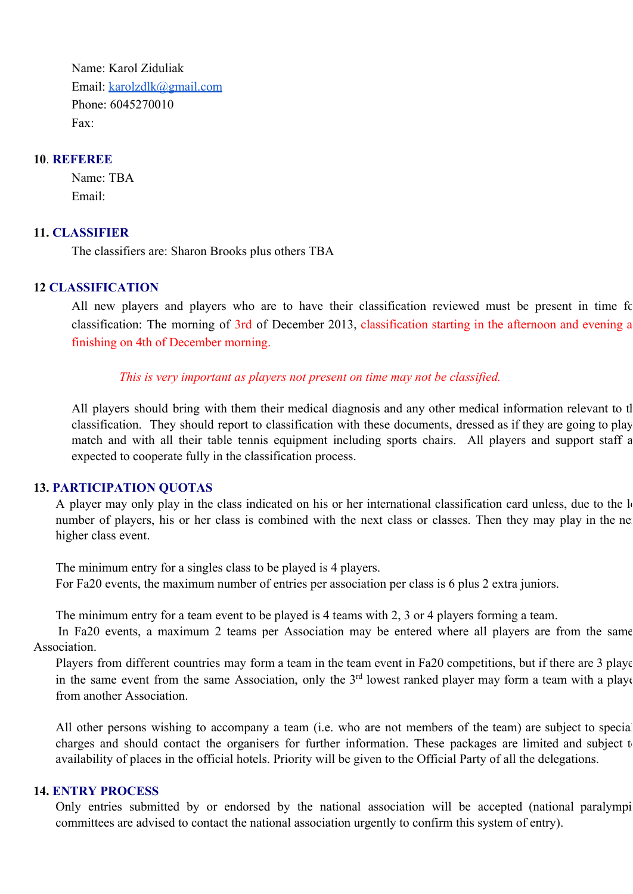Name: Karol Ziduliak Email: [karolzdlk@gmail.com](mailto:karolzdlk@gmail.com) Phone: 6045270010 Fax:

#### **10**. **REFEREE**

Name: TBA Email:

### **11. CLASSIFIER**

The classifiers are: Sharon Brooks plus others TBA

#### **12 CLASSIFICATION**

All new players and players who are to have their classification reviewed must be present in time for classification: The morning of 3rd of December 2013, classification starting in the afternoon and evening a finishing on 4th of December morning.

#### *This is very important as players not present on time may not be classified.*

All players should bring with them their medical diagnosis and any other medical information relevant to the classification. They should report to classification with these documents, dressed as if they are going to play match and with all their table tennis equipment including sports chairs. All players and support staff a expected to cooperate fully in the classification process.

### **13. PARTICIPATION QUOTAS**

A player may only play in the class indicated on his or her international classification card unless, due to the lo number of players, his or her class is combined with the next class or classes. Then they may play in the ne higher class event.

The minimum entry for a singles class to be played is 4 players. For Fa20 events, the maximum number of entries per association per class is 6 plus 2 extra juniors.

The minimum entry for a team event to be played is 4 teams with 2, 3 or 4 players forming a team.

In Fa20 events, a maximum 2 teams per Association may be entered where all players are from the same Association.

Players from different countries may form a team in the team event in Fa20 competitions, but if there are 3 players in the same event from the same Association, only the  $3<sup>rd</sup>$  lowest ranked player may form a team with a playe from another Association.

All other persons wishing to accompany a team (i.e. who are not members of the team) are subject to special charges and should contact the organisers for further information. These packages are limited and subject to availability of places in the official hotels. Priority will be given to the Official Party of all the delegations.

## **14. ENTRY PROCESS**

Only entries submitted by or endorsed by the national association will be accepted (national paralympi committees are advised to contact the national association urgently to confirm this system of entry).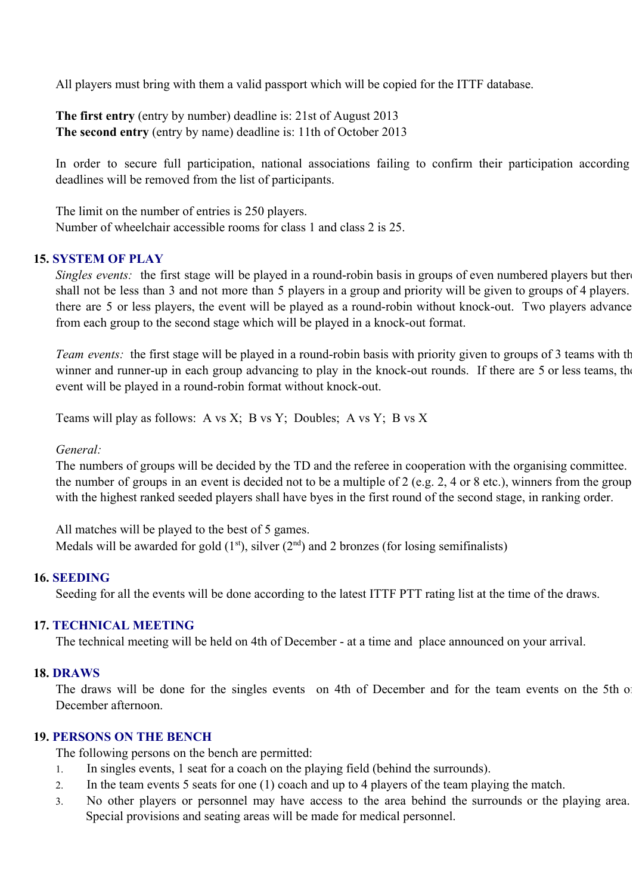All players must bring with them a valid passport which will be copied for the ITTF database.

**The first entry** (entry by number) deadline is: 21st of August 2013 **The second entry** (entry by name) deadline is: 11th of October 2013

In order to secure full participation, national associations failing to confirm their participation according deadlines will be removed from the list of participants.

The limit on the number of entries is 250 players. Number of wheelchair accessible rooms for class 1 and class 2 is 25.

# **15. SYSTEM OF PLAY**

*Singles events:* the first stage will be played in a round-robin basis in groups of even numbered players but there shall not be less than 3 and not more than 5 players in a group and priority will be given to groups of 4 players. there are 5 or less players, the event will be played as a round-robin without knock-out. Two players advance from each group to the second stage which will be played in a knock-out format.

*Team events:* the first stage will be played in a round-robin basis with priority given to groups of 3 teams with th winner and runner-up in each group advancing to play in the knock-out rounds. If there are 5 or less teams, the event will be played in a round-robin format without knock-out.

Teams will play as follows: A vs X; B vs Y; Doubles; A vs Y; B vs X

#### *General:*

The numbers of groups will be decided by the TD and the referee in cooperation with the organising committee. the number of groups in an event is decided not to be a multiple of 2 (e.g. 2, 4 or 8 etc.), winners from the group with the highest ranked seeded players shall have byes in the first round of the second stage, in ranking order.

All matches will be played to the best of 5 games. Medals will be awarded for gold  $(1<sup>st</sup>)$ , silver  $(2<sup>nd</sup>)$  and 2 bronzes (for losing semifinalists)

#### **16. SEEDING**

Seeding for all the events will be done according to the latest ITTF PTT rating list at the time of the draws.

### **17. TECHNICAL MEETING**

The technical meeting will be held on 4th of December - at a time and place announced on your arrival.

# **18. DRAWS**

The draws will be done for the singles events on 4th of December and for the team events on the 5th of December afternoon.

# **19. PERSONS ON THE BENCH**

The following persons on the bench are permitted:

- 1. In singles events, 1 seat for a coach on the playing field (behind the surrounds).
- 2. In the team events 5 seats for one (1) coach and up to 4 players of the team playing the match.
- 3. No other players or personnel may have access to the area behind the surrounds or the playing area. Special provisions and seating areas will be made for medical personnel.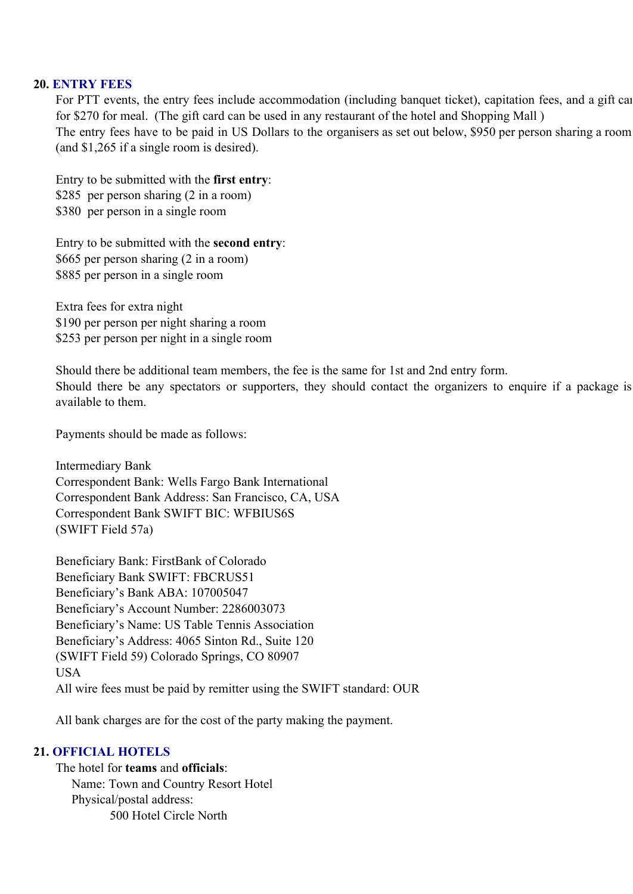#### **20. ENTRY FEES**

For PTT events, the entry fees include accommodation (including banquet ticket), capitation fees, and a gift car for \$270 for meal. (The gift card can be used in any restaurant of the hotel and Shopping Mall ) The entry fees have to be paid in US Dollars to the organisers as set out below, \$950 per person sharing a room (and \$1,265 if a single room is desired).

Entry to be submitted with the **first entry**: \$285 per person sharing (2 in a room) \$380 per person in a single room

Entry to be submitted with the **second entry**: \$665 per person sharing (2 in a room) \$885 per person in a single room

Extra fees for extra night \$190 per person per night sharing a room \$253 per person per night in a single room

Should there be additional team members, the fee is the same for 1st and 2nd entry form. Should there be any spectators or supporters, they should contact the organizers to enquire if a package is available to them.

Payments should be made as follows:

Intermediary Bank Correspondent Bank: Wells Fargo Bank International Correspondent Bank Address: San Francisco, CA, USA Correspondent Bank SWIFT BIC: WFBIUS6S (SWIFT Field 57a)

Beneficiary Bank: FirstBank of Colorado Beneficiary Bank SWIFT: FBCRUS51 Beneficiary's Bank ABA: 107005047 Beneficiary's Account Number: 2286003073 Beneficiary's Name: US Table Tennis Association Beneficiary's Address: 4065 Sinton Rd., Suite 120 (SWIFT Field 59) Colorado Springs, CO 80907 USA All wire fees must be paid by remitter using the SWIFT standard: OUR

All bank charges are for the cost of the party making the payment.

# **21. OFFICIAL HOTELS**

The hotel for **teams** and **officials**: Name: Town and Country Resort Hotel Physical/postal address: 500 Hotel Circle North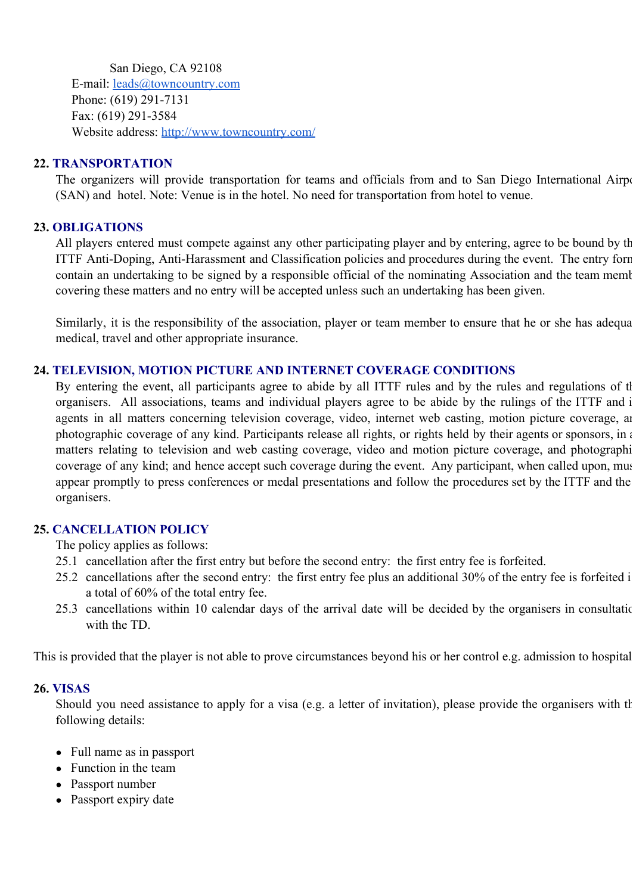San Diego, CA 92108 E-mail: [leads@towncountry.com](mailto:leads@towncountry.com) Phone: (619) 291-7131 Fax: (619) 291-3584 Website address: [http://www.towncountry.com/](http://www.google.com/url?q=http%3A%2F%2Fwww.towncountry.com%2F&sa=D&sntz=1&usg=AFQjCNH5WapankdlBcRl4zSV0oGsloYEBw)

# **22. TRANSPORTATION**

The organizers will provide transportation for teams and officials from and to San Diego International Airport (SAN) and hotel. Note: Venue is in the hotel. No need for transportation from hotel to venue.

# **23. OBLIGATIONS**

All players entered must compete against any other participating player and by entering, agree to be bound by th ITTF Anti-Doping, Anti-Harassment and Classification policies and procedures during the event. The entry form contain an undertaking to be signed by a responsible official of the nominating Association and the team member covering these matters and no entry will be accepted unless such an undertaking has been given.

Similarly, it is the responsibility of the association, player or team member to ensure that he or she has adequa medical, travel and other appropriate insurance.

## **24. TELEVISION, MOTION PICTURE AND INTERNET COVERAGE CONDITIONS**

By entering the event, all participants agree to abide by all ITTF rules and by the rules and regulations of the organisers. All associations, teams and individual players agree to be abide by the rulings of the ITTF and i agents in all matters concerning television coverage, video, internet web casting, motion picture coverage, an photographic coverage of any kind. Participants release all rights, or rights held by their agents or sponsors, in a matters relating to television and web casting coverage, video and motion picture coverage, and photographi coverage of any kind; and hence accept such coverage during the event. Any participant, when called upon, must appear promptly to press conferences or medal presentations and follow the procedures set by the ITTF and the organisers.

# **25. CANCELLATION POLICY**

The policy applies as follows:

- 25.1 cancellation after the first entry but before the second entry: the first entry fee is forfeited.
- 25.2 cancellations after the second entry: the first entry fee plus an additional 30% of the entry fee is forfeited i. a total of 60% of the total entry fee.
- 25.3 cancellations within 10 calendar days of the arrival date will be decided by the organisers in consultation with the TD.

This is provided that the player is not able to prove circumstances beyond his or her control e.g. admission to hospital.

# **26. VISAS**

Should you need assistance to apply for a visa (e.g. a letter of invitation), please provide the organisers with the following details:

- Full name as in passport
- Function in the team
- Passport number
- Passport expiry date